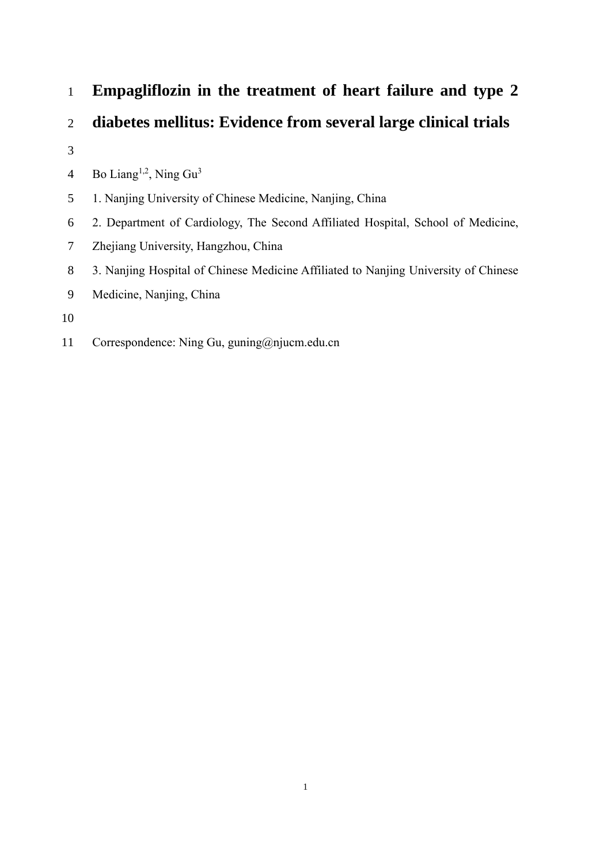- **Empagliflozin in the treatment of heart failure and type 2**
- **diabetes mellitus: Evidence from several large clinical trials**
- 

4 Bo Liang<sup>1,2</sup>, Ning  $Gu<sup>3</sup>$ 

- 1. Nanjing University of Chinese Medicine, Nanjing, China
- 2. Department of Cardiology, The Second Affiliated Hospital, School of Medicine,
- Zhejiang University, Hangzhou, China
- 3. Nanjing Hospital of Chinese Medicine Affiliated to Nanjing University of Chinese
- Medicine, Nanjing, China
- 
- Correspondence: Ning Gu, guning@njucm.edu.cn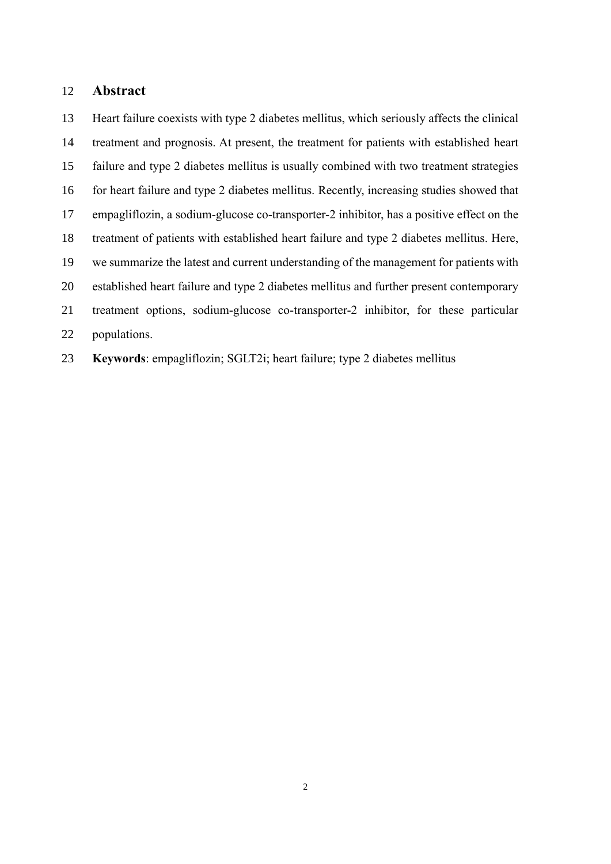# **Abstract**

 Heart failure coexists with type 2 diabetes mellitus, which seriously affects the clinical treatment and prognosis. At present, the treatment for patients with established heart failure and type 2 diabetes mellitus is usually combined with two treatment strategies for heart failure and type 2 diabetes mellitus. Recently, increasing studies showed that empagliflozin, a sodium-glucose co-transporter-2 inhibitor, has a positive effect on the treatment of patients with established heart failure and type 2 diabetes mellitus. Here, we summarize the latest and current understanding of the management for patients with established heart failure and type 2 diabetes mellitus and further present contemporary treatment options, sodium-glucose co-transporter-2 inhibitor, for these particular populations.

**Keywords**: empagliflozin; SGLT2i; heart failure; type 2 diabetes mellitus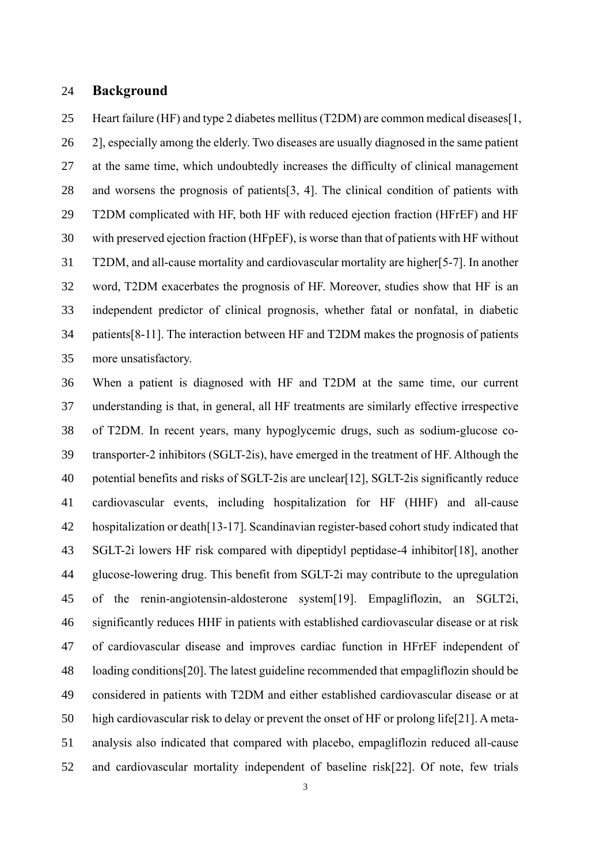#### **Background**

 Heart failure (HF) and type 2 diabetes mellitus (T2DM) are common medical diseases[1, 2], especially among the elderly. Two diseases are usually diagnosed in the same patient at the same time, which undoubtedly increases the difficulty of clinical management and worsens the prognosis of patients[3, 4]. The clinical condition of patients with T2DM complicated with HF, both HF with reduced ejection fraction (HFrEF) and HF with preserved ejection fraction (HFpEF), is worse than that of patients with HF without T2DM, and all-cause mortality and cardiovascular mortality are higher[5-7]. In another word, T2DM exacerbates the prognosis of HF. Moreover, studies show that HF is an independent predictor of clinical prognosis, whether fatal or nonfatal, in diabetic patients[8-11]. The interaction between HF and T2DM makes the prognosis of patients more unsatisfactory.

 When a patient is diagnosed with HF and T2DM at the same time, our current understanding is that, in general, all HF treatments are similarly effective irrespective of T2DM. In recent years, many hypoglycemic drugs, such as sodium-glucose co- transporter-2 inhibitors (SGLT-2is), have emerged in the treatment of HF. Although the potential benefits and risks of SGLT-2is are unclear[12], SGLT-2is significantly reduce cardiovascular events, including hospitalization for HF (HHF) and all-cause hospitalization or death[13-17]. Scandinavian register-based cohort study indicated that SGLT-2i lowers HF risk compared with dipeptidyl peptidase-4 inhibitor[18], another glucose-lowering drug. This benefit from SGLT-2i may contribute to the upregulation of the renin-angiotensin-aldosterone system[19]. Empagliflozin, an SGLT2i, significantly reduces HHF in patients with established cardiovascular disease or at risk of cardiovascular disease and improves cardiac function in HFrEF independent of loading conditions[20]. The latest guideline recommended that empagliflozin should be considered in patients with T2DM and either established cardiovascular disease or at high cardiovascular risk to delay or prevent the onset of HF or prolong life[21]. A meta- analysis also indicated that compared with placebo, empagliflozin reduced all-cause and cardiovascular mortality independent of baseline risk[22]. Of note, few trials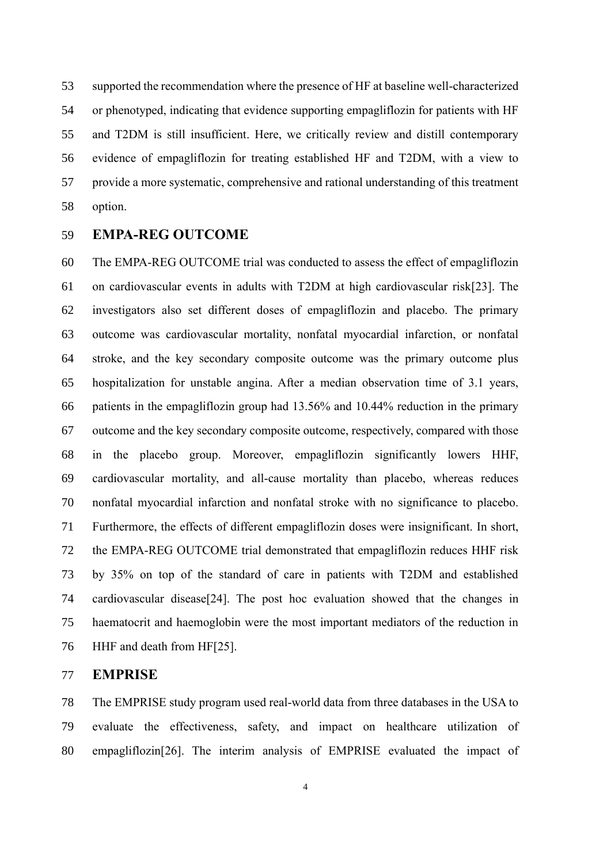supported the recommendation where the presence of HF at baseline well-characterized or phenotyped, indicating that evidence supporting empagliflozin for patients with HF and T2DM is still insufficient. Here, we critically review and distill contemporary evidence of empagliflozin for treating established HF and T2DM, with a view to provide a more systematic, comprehensive and rational understanding of this treatment option.

# **EMPA-REG OUTCOME**

 The EMPA-REG OUTCOME trial was conducted to assess the effect of empagliflozin on cardiovascular events in adults with T2DM at high cardiovascular risk[23]. The investigators also set different doses of empagliflozin and placebo. The primary outcome was cardiovascular mortality, nonfatal myocardial infarction, or nonfatal stroke, and the key secondary composite outcome was the primary outcome plus hospitalization for unstable angina. After a median observation time of 3.1 years, patients in the empagliflozin group had 13.56% and 10.44% reduction in the primary outcome and the key secondary composite outcome, respectively, compared with those in the placebo group. Moreover, empagliflozin significantly lowers HHF, cardiovascular mortality, and all-cause mortality than placebo, whereas reduces nonfatal myocardial infarction and nonfatal stroke with no significance to placebo. Furthermore, the effects of different empagliflozin doses were insignificant. In short, the EMPA-REG OUTCOME trial demonstrated that empagliflozin reduces HHF risk by 35% on top of the standard of care in patients with T2DM and established cardiovascular disease[24]. The post hoc evaluation showed that the changes in haematocrit and haemoglobin were the most important mediators of the reduction in HHF and death from HF[25].

#### **EMPRISE**

 The EMPRISE study program used real-world data from three databases in the USA to evaluate the effectiveness, safety, and impact on healthcare utilization of empagliflozin[26]. The interim analysis of EMPRISE evaluated the impact of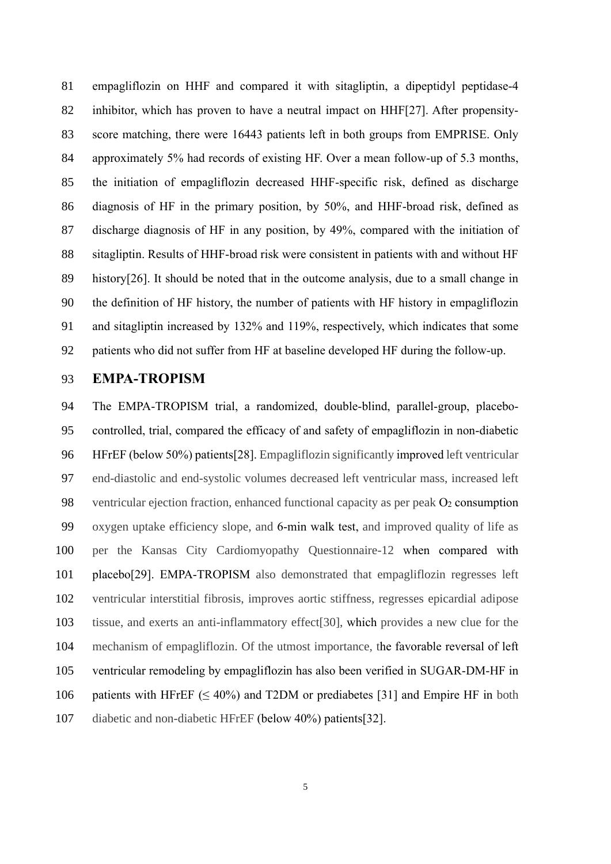empagliflozin on HHF and compared it with sitagliptin, a dipeptidyl peptidase-4 inhibitor, which has proven to have a neutral impact on HHF[27]. After propensity- score matching, there were 16443 patients left in both groups from EMPRISE. Only approximately 5% had records of existing HF. Over a mean follow-up of 5.3 months, the initiation of empagliflozin decreased HHF-specific risk, defined as discharge diagnosis of HF in the primary position, by 50%, and HHF-broad risk, defined as discharge diagnosis of HF in any position, by 49%, compared with the initiation of sitagliptin. Results of HHF-broad risk were consistent in patients with and without HF history[26]. It should be noted that in the outcome analysis, due to a small change in the definition of HF history, the number of patients with HF history in empagliflozin and sitagliptin increased by 132% and 119%, respectively, which indicates that some patients who did not suffer from HF at baseline developed HF during the follow-up.

# **EMPA-TROPISM**

 The EMPA-TROPISM trial, a randomized, double-blind, parallel-group, placebo- controlled, trial, compared the efficacy of and safety of empagliflozin in non-diabetic HFrEF (below 50%) patients[28]. Empagliflozin significantly improved left ventricular end-diastolic and end-systolic volumes decreased left ventricular mass, increased left 98 ventricular ejection fraction, enhanced functional capacity as per peak O<sub>2</sub> consumption oxygen uptake efficiency slope, and 6-min walk test, and improved quality of life as per the Kansas City Cardiomyopathy Questionnaire-12 when compared with placebo[29]. EMPA-TROPISM also demonstrated that empagliflozin regresses left ventricular interstitial fibrosis, improves aortic stiffness, regresses epicardial adipose tissue, and exerts an anti-inflammatory effect[30], which provides a new clue for the mechanism of empagliflozin. Of the utmost importance, the favorable reversal of left ventricular remodeling by empagliflozin has also been verified in SUGAR-DM-HF in 106 patients with HFrEF ( $\leq 40\%$ ) and T2DM or prediabetes [31] and Empire HF in both diabetic and non-diabetic HFrEF (below 40%) patients[32].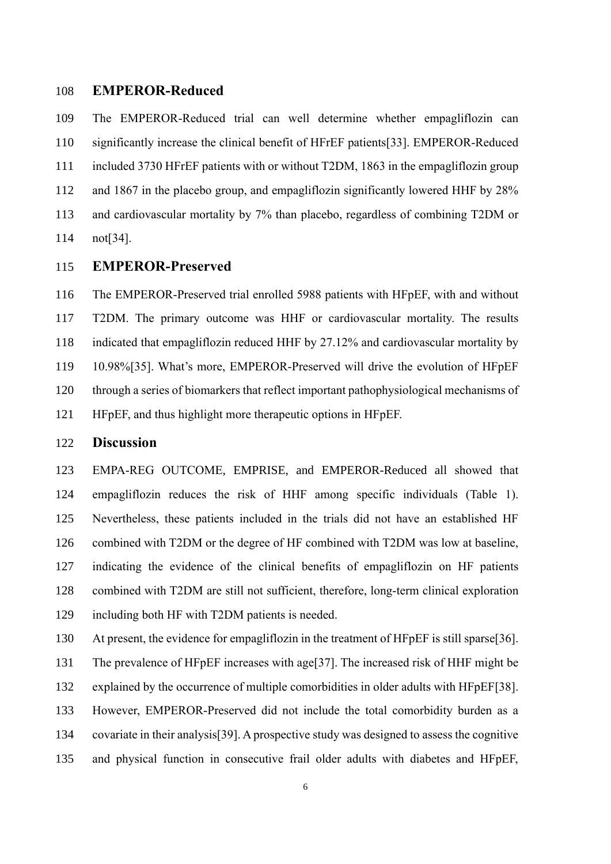#### **EMPEROR-Reduced**

 The EMPEROR-Reduced trial can well determine whether empagliflozin can significantly increase the clinical benefit of HFrEF patients[33]. EMPEROR-Reduced included 3730 HFrEF patients with or without T2DM, 1863 in the empagliflozin group and 1867 in the placebo group, and empagliflozin significantly lowered HHF by 28% and cardiovascular mortality by 7% than placebo, regardless of combining T2DM or not[34].

# **EMPEROR-Preserved**

 The EMPEROR-Preserved trial enrolled 5988 patients with HFpEF, with and without T2DM. The primary outcome was HHF or cardiovascular mortality. The results indicated that empagliflozin reduced HHF by 27.12% and cardiovascular mortality by 10.98%[35]. What's more, EMPEROR-Preserved will drive the evolution of HFpEF through a series of biomarkers that reflect important pathophysiological mechanisms of HFpEF, and thus highlight more therapeutic options in HFpEF.

#### **Discussion**

 EMPA-REG OUTCOME, EMPRISE, and EMPEROR-Reduced all showed that empagliflozin reduces the risk of HHF among specific individuals (Table 1). Nevertheless, these patients included in the trials did not have an established HF combined with T2DM or the degree of HF combined with T2DM was low at baseline, indicating the evidence of the clinical benefits of empagliflozin on HF patients combined with T2DM are still not sufficient, therefore, long-term clinical exploration including both HF with T2DM patients is needed.

At present, the evidence for empagliflozin in the treatment of HFpEF is still sparse[36].

The prevalence of HFpEF increases with age[37]. The increased risk of HHF might be

explained by the occurrence of multiple comorbidities in older adults with HFpEF[38].

However, EMPEROR-Preserved did not include the total comorbidity burden as a

covariate in their analysis[39]. A prospective study was designed to assess the cognitive

and physical function in consecutive frail older adults with diabetes and HFpEF,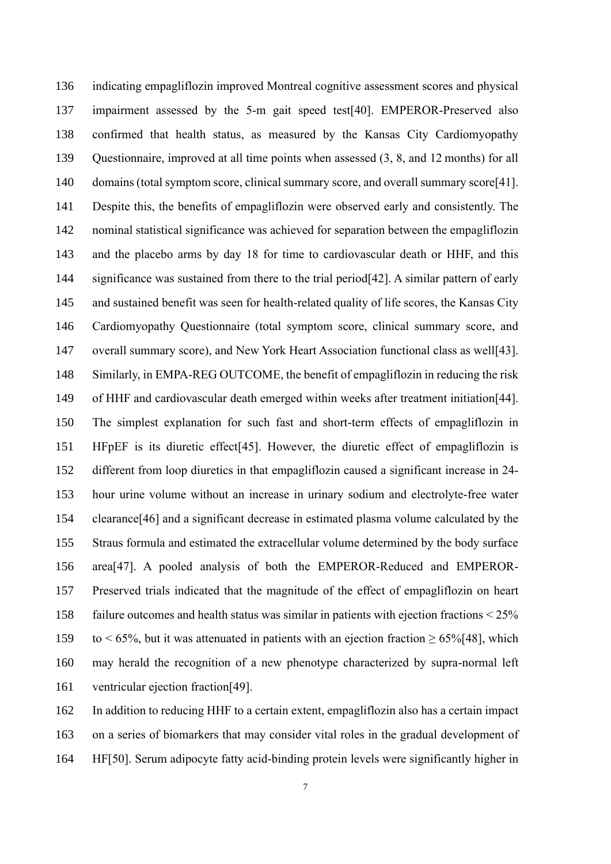indicating empagliflozin improved Montreal cognitive assessment scores and physical impairment assessed by the 5-m gait speed test[40]. EMPEROR-Preserved also confirmed that health status, as measured by the Kansas City Cardiomyopathy Questionnaire, improved at all time points when assessed (3, 8, and 12 months) for all 140 domains (total symptom score, clinical summary score, and overall summary score[41]. Despite this, the benefits of empagliflozin were observed early and consistently. The nominal statistical significance was achieved for separation between the empagliflozin and the placebo arms by day 18 for time to cardiovascular death or HHF, and this 144 significance was sustained from there to the trial period [42]. A similar pattern of early and sustained benefit was seen for health-related quality of life scores, the Kansas City Cardiomyopathy Questionnaire (total symptom score, clinical summary score, and overall summary score), and New York Heart Association functional class as well[43]. Similarly, in EMPA-REG OUTCOME, the benefit of empagliflozin in reducing the risk of HHF and cardiovascular death emerged within weeks after treatment initiation[44]. The simplest explanation for such fast and short-term effects of empagliflozin in HFpEF is its diuretic effect[45]. However, the diuretic effect of empagliflozin is different from loop diuretics in that empagliflozin caused a significant increase in 24- hour urine volume without an increase in urinary sodium and electrolyte-free water clearance[46] and a significant decrease in estimated plasma volume calculated by the Straus formula and estimated the extracellular volume determined by the body surface area[47]. A pooled analysis of both the EMPEROR-Reduced and EMPEROR- Preserved trials indicated that the magnitude of the effect of empagliflozin on heart failure outcomes and health status was similar in patients with ejection fractions < 25% 159 to < 65%, but it was attenuated in patients with an ejection fraction  $\geq 65\%$ [48], which may herald the recognition of a new phenotype characterized by supra-normal left ventricular ejection fraction[49].

 In addition to reducing HHF to a certain extent, empagliflozin also has a certain impact on a series of biomarkers that may consider vital roles in the gradual development of HF[50]. Serum adipocyte fatty acid-binding protein levels were significantly higher in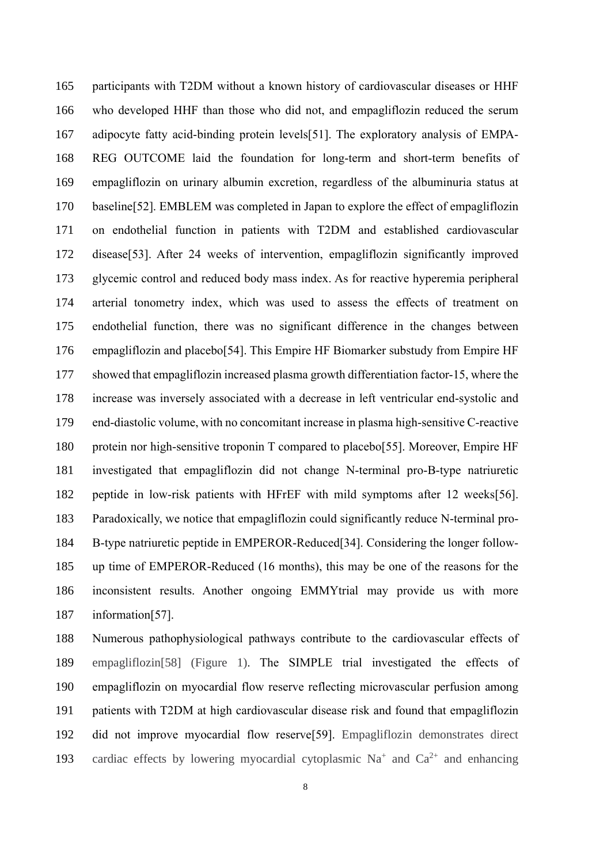participants with T2DM without a known history of cardiovascular diseases or HHF who developed HHF than those who did not, and empagliflozin reduced the serum adipocyte fatty acid-binding protein levels[51]. The exploratory analysis of EMPA- REG OUTCOME laid the foundation for long-term and short-term benefits of empagliflozin on urinary albumin excretion, regardless of the albuminuria status at baseline[52]. EMBLEM was completed in Japan to explore the effect of empagliflozin on endothelial function in patients with T2DM and established cardiovascular disease[53]. After 24 weeks of intervention, empagliflozin significantly improved glycemic control and reduced body mass index. As for reactive hyperemia peripheral arterial tonometry index, which was used to assess the effects of treatment on endothelial function, there was no significant difference in the changes between empagliflozin and placebo[54]. This Empire HF Biomarker substudy from Empire HF showed that empagliflozin increased plasma growth differentiation factor-15, where the increase was inversely associated with a decrease in left ventricular end-systolic and end-diastolic volume, with no concomitant increase in plasma high-sensitive C-reactive protein nor high-sensitive troponin T compared to placebo[55]. Moreover, Empire HF investigated that empagliflozin did not change N-terminal pro-B-type natriuretic peptide in low-risk patients with HFrEF with mild symptoms after 12 weeks[56]. Paradoxically, we notice that empagliflozin could significantly reduce N-terminal pro- B-type natriuretic peptide in EMPEROR-Reduced[34]. Considering the longer follow- up time of EMPEROR-Reduced (16 months), this may be one of the reasons for the inconsistent results. Another ongoing EMMYtrial may provide us with more information[57].

 Numerous pathophysiological pathways contribute to the cardiovascular effects of empagliflozin[58] (Figure 1). The SIMPLE trial investigated the effects of empagliflozin on myocardial flow reserve reflecting microvascular perfusion among patients with T2DM at high cardiovascular disease risk and found that empagliflozin did not improve myocardial flow reserve[59]. Empagliflozin demonstrates direct 193 cardiac effects by lowering myocardial cytoplasmic  $Na<sup>+</sup>$  and  $Ca<sup>2+</sup>$  and enhancing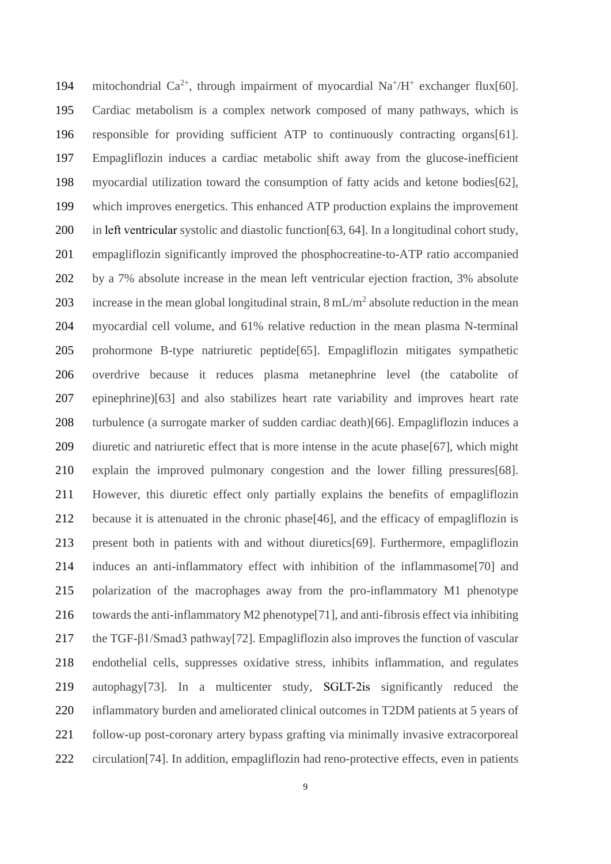194 mitochondrial Ca<sup>2+</sup>, through impairment of myocardial Na<sup>+</sup>/H<sup>+</sup> exchanger flux[60]. Cardiac metabolism is a complex network composed of many pathways, which is responsible for providing sufficient ATP to continuously contracting organs[61]. Empagliflozin induces a cardiac metabolic shift away from the glucose-inefficient myocardial utilization toward the consumption of fatty acids and ketone bodies[62], which improves energetics. This enhanced ATP production explains the improvement in left ventricular systolic and diastolic function[63, 64]. In a longitudinal cohort study, empagliflozin significantly improved the phosphocreatine-to-ATP ratio accompanied by a 7% absolute increase in the mean left ventricular ejection fraction, 3% absolute 203 increase in the mean global longitudinal strain,  $8 \text{ mL/m}^2$  absolute reduction in the mean myocardial cell volume, and 61% relative reduction in the mean plasma N-terminal prohormone B-type natriuretic peptide[65]. Empagliflozin mitigates sympathetic overdrive because it reduces plasma metanephrine level (the catabolite of epinephrine)[63] and also stabilizes heart rate variability and improves heart rate turbulence (a surrogate marker of sudden cardiac death)[66]. Empagliflozin induces a diuretic and natriuretic effect that is more intense in the acute phase[67], which might explain the improved pulmonary congestion and the lower filling pressures[68]. However, this diuretic effect only partially explains the benefits of empagliflozin because it is attenuated in the chronic phase[46], and the efficacy of empagliflozin is present both in patients with and without diuretics[69]. Furthermore, empagliflozin induces an anti-inflammatory effect with inhibition of the inflammasome[70] and polarization of the macrophages away from the pro-inflammatory M1 phenotype towards the anti-inflammatory M2 phenotype[71], and anti-fibrosis effect via inhibiting the TGF-β1/Smad3 pathway[72]. Empagliflozin also improves the function of vascular endothelial cells, suppresses oxidative stress, inhibits inflammation, and regulates autophagy[73]. In a multicenter study, SGLT-2is significantly reduced the inflammatory burden and ameliorated clinical outcomes in T2DM patients at 5 years of follow-up post-coronary artery bypass grafting via minimally invasive extracorporeal circulation[74]. In addition, empagliflozin had reno-protective effects, even in patients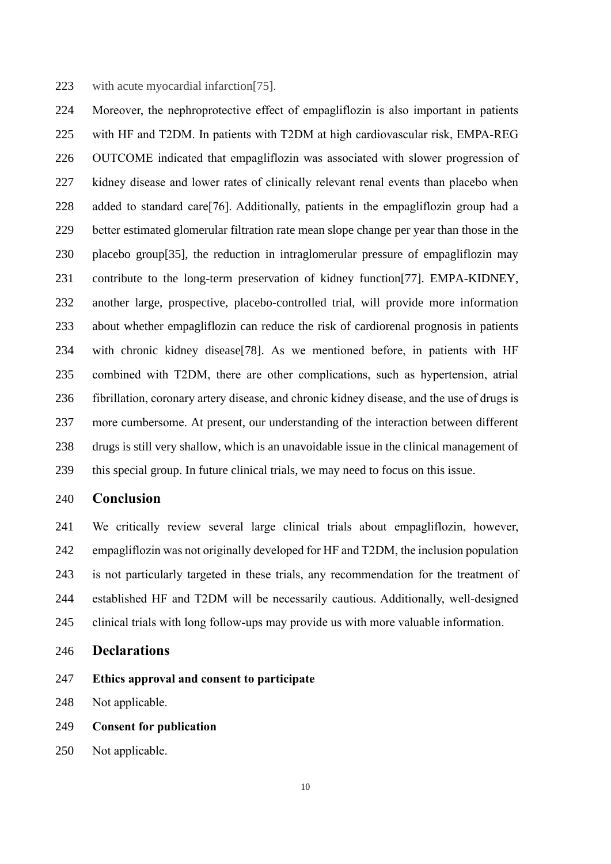223 with acute myocardial infarction [75].

 Moreover, the nephroprotective effect of empagliflozin is also important in patients with HF and T2DM. In patients with T2DM at high cardiovascular risk, EMPA-REG OUTCOME indicated that empagliflozin was associated with slower progression of kidney disease and lower rates of clinically relevant renal events than placebo when added to standard care[76]. Additionally, patients in the empagliflozin group had a better estimated glomerular filtration rate mean slope change per year than those in the placebo group[35], the reduction in intraglomerular pressure of empagliflozin may contribute to the long-term preservation of kidney function[77]. EMPA-KIDNEY, another large, prospective, placebo-controlled trial, will provide more information about whether empagliflozin can reduce the risk of cardiorenal prognosis in patients with chronic kidney disease[78]. As we mentioned before, in patients with HF combined with T2DM, there are other complications, such as hypertension, atrial fibrillation, coronary artery disease, and chronic kidney disease, and the use of drugs is more cumbersome. At present, our understanding of the interaction between different drugs is still very shallow, which is an unavoidable issue in the clinical management of this special group. In future clinical trials, we may need to focus on this issue.

#### **Conclusion**

 We critically review several large clinical trials about empagliflozin, however, empagliflozin was not originally developed for HF and T2DM, the inclusion population is not particularly targeted in these trials, any recommendation for the treatment of established HF and T2DM will be necessarily cautious. Additionally, well-designed clinical trials with long follow-ups may provide us with more valuable information.

- **Declarations**
- **Ethics approval and consent to participate**
- Not applicable.
- **Consent for publication**
- Not applicable.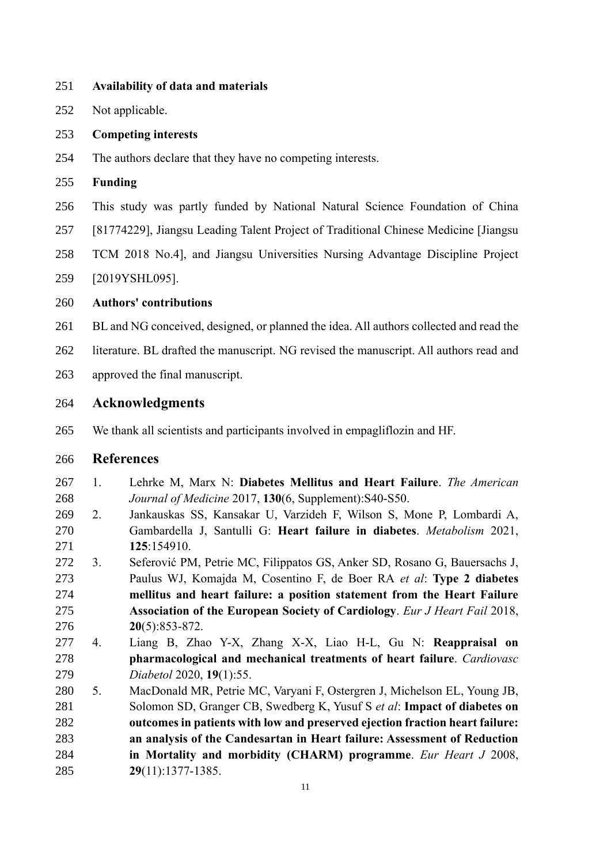- **Availability of data and materials**
- Not applicable.
- **Competing interests**
- The authors declare that they have no competing interests.
- **Funding**
- This study was partly funded by National Natural Science Foundation of China
- [81774229], Jiangsu Leading Talent Project of Traditional Chinese Medicine [Jiangsu
- TCM 2018 No.4], and Jiangsu Universities Nursing Advantage Discipline Project
- [2019YSHL095].

#### **Authors' contributions**

- 261 BL and NG conceived, designed, or planned the idea. All authors collected and read the
- literature. BL drafted the manuscript. NG revised the manuscript. All authors read and
- approved the final manuscript.

# **Acknowledgments**

We thank all scientists and participants involved in empagliflozin and HF.

### **References**

- 1. Lehrke M, Marx N: **Diabetes Mellitus and Heart Failure**. *The American Journal of Medicine* 2017, **130**(6, Supplement):S40-S50.
- 2. Jankauskas SS, Kansakar U, Varzideh F, Wilson S, Mone P, Lombardi A, Gambardella J, Santulli G: **Heart failure in diabetes**. *Metabolism* 2021, **125**:154910.
- 3. Seferović PM, Petrie MC, Filippatos GS, Anker SD, Rosano G, Bauersachs J, Paulus WJ, Komajda M, Cosentino F, de Boer RA *et al*: **Type 2 diabetes mellitus and heart failure: a position statement from the Heart Failure Association of the European Society of Cardiology**. *Eur J Heart Fail* 2018, **20**(5):853-872.
- 4. Liang B, Zhao Y-X, Zhang X-X, Liao H-L, Gu N: **Reappraisal on pharmacological and mechanical treatments of heart failure**. *Cardiovasc Diabetol* 2020, **19**(1):55.
- 5. MacDonald MR, Petrie MC, Varyani F, Ostergren J, Michelson EL, Young JB, Solomon SD, Granger CB, Swedberg K, Yusuf S *et al*: **Impact of diabetes on outcomes in patients with low and preserved ejection fraction heart failure: an analysis of the Candesartan in Heart failure: Assessment of Reduction in Mortality and morbidity (CHARM) programme**. *Eur Heart J* 2008, **29**(11):1377-1385.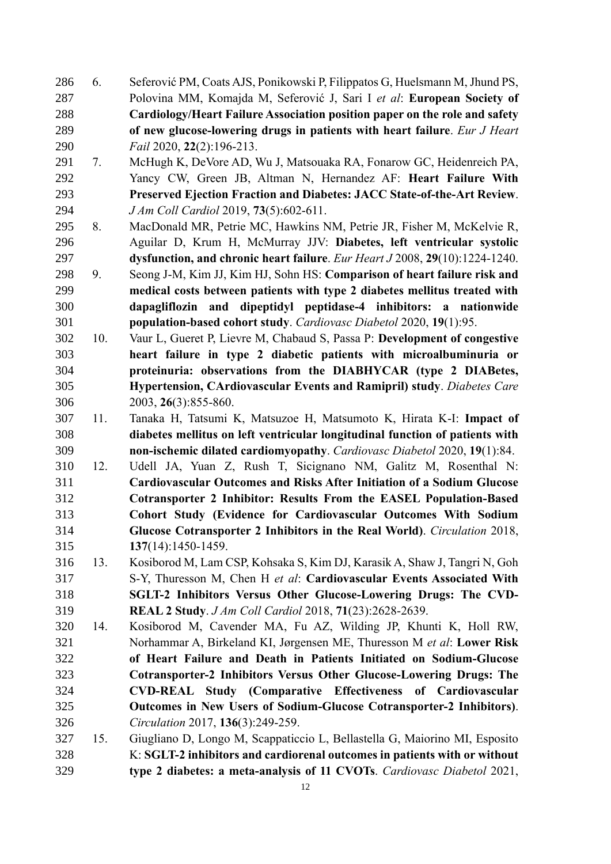6. Seferović PM, Coats AJS, Ponikowski P, Filippatos G, Huelsmann M, Jhund PS, Polovina MM, Komajda M, Seferović J, Sari I *et al*: **European Society of Cardiology/Heart Failure Association position paper on the role and safety of new glucose-lowering drugs in patients with heart failure**. *Eur J Heart Fail* 2020, **22**(2):196-213.

- 7. McHugh K, DeVore AD, Wu J, Matsouaka RA, Fonarow GC, Heidenreich PA, Yancy CW, Green JB, Altman N, Hernandez AF: **Heart Failure With Preserved Ejection Fraction and Diabetes: JACC State-of-the-Art Review**. *J Am Coll Cardiol* 2019, **73**(5):602-611.
- 8. MacDonald MR, Petrie MC, Hawkins NM, Petrie JR, Fisher M, McKelvie R, Aguilar D, Krum H, McMurray JJV: **Diabetes, left ventricular systolic dysfunction, and chronic heart failure**. *Eur Heart J* 2008, **29**(10):1224-1240.
- 9. Seong J-M, Kim JJ, Kim HJ, Sohn HS: **Comparison of heart failure risk and medical costs between patients with type 2 diabetes mellitus treated with dapagliflozin and dipeptidyl peptidase-4 inhibitors: a nationwide population-based cohort study**. *Cardiovasc Diabetol* 2020, **19**(1):95.
- 10. Vaur L, Gueret P, Lievre M, Chabaud S, Passa P: **Development of congestive heart failure in type 2 diabetic patients with microalbuminuria or proteinuria: observations from the DIABHYCAR (type 2 DIABetes, Hypertension, CArdiovascular Events and Ramipril) study**. *Diabetes Care*  2003, **26**(3):855-860.
- 11. Tanaka H, Tatsumi K, Matsuzoe H, Matsumoto K, Hirata K-I: **Impact of diabetes mellitus on left ventricular longitudinal function of patients with non-ischemic dilated cardiomyopathy**. *Cardiovasc Diabetol* 2020, **19**(1):84.
- 12. Udell JA, Yuan Z, Rush T, Sicignano NM, Galitz M, Rosenthal N: **Cardiovascular Outcomes and Risks After Initiation of a Sodium Glucose Cotransporter 2 Inhibitor: Results From the EASEL Population-Based Cohort Study (Evidence for Cardiovascular Outcomes With Sodium Glucose Cotransporter 2 Inhibitors in the Real World)**. *Circulation* 2018, **137**(14):1450-1459.
- 13. Kosiborod M, Lam CSP, Kohsaka S, Kim DJ, Karasik A, Shaw J, Tangri N, Goh S-Y, Thuresson M, Chen H *et al*: **Cardiovascular Events Associated With SGLT-2 Inhibitors Versus Other Glucose-Lowering Drugs: The CVD-REAL 2 Study**. *J Am Coll Cardiol* 2018, **71**(23):2628-2639.
- 14. Kosiborod M, Cavender MA, Fu AZ, Wilding JP, Khunti K, Holl RW, Norhammar A, Birkeland KI, Jørgensen ME, Thuresson M *et al*: **Lower Risk of Heart Failure and Death in Patients Initiated on Sodium-Glucose Cotransporter-2 Inhibitors Versus Other Glucose-Lowering Drugs: The CVD-REAL Study (Comparative Effectiveness of Cardiovascular Outcomes in New Users of Sodium-Glucose Cotransporter-2 Inhibitors)**. *Circulation* 2017, **136**(3):249-259.
- 15. Giugliano D, Longo M, Scappaticcio L, Bellastella G, Maiorino MI, Esposito K: **SGLT-2 inhibitors and cardiorenal outcomes in patients with or without type 2 diabetes: a meta-analysis of 11 CVOTs**. *Cardiovasc Diabetol* 2021,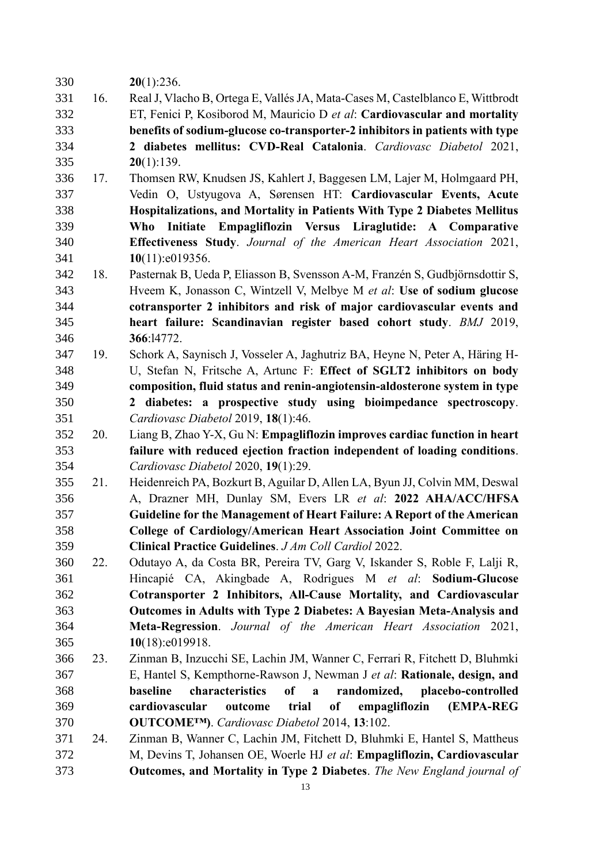- **20**(1):236.
- 16. Real J, Vlacho B, Ortega E, Vallés JA, Mata-Cases M, Castelblanco E, Wittbrodt ET, Fenici P, Kosiborod M, Mauricio D *et al*: **Cardiovascular and mortality benefits of sodium-glucose co-transporter-2 inhibitors in patients with type 2 diabetes mellitus: CVD-Real Catalonia**. *Cardiovasc Diabetol* 2021, **20**(1):139.
- 17. Thomsen RW, Knudsen JS, Kahlert J, Baggesen LM, Lajer M, Holmgaard PH, Vedin O, Ustyugova A, Sørensen HT: **Cardiovascular Events, Acute Hospitalizations, and Mortality in Patients With Type 2 Diabetes Mellitus Who Initiate Empagliflozin Versus Liraglutide: A Comparative Effectiveness Study**. *Journal of the American Heart Association* 2021, **10**(11):e019356.
- 18. Pasternak B, Ueda P, Eliasson B, Svensson A-M, Franzén S, Gudbjörnsdottir S, Hveem K, Jonasson C, Wintzell V, Melbye M *et al*: **Use of sodium glucose cotransporter 2 inhibitors and risk of major cardiovascular events and heart failure: Scandinavian register based cohort study**. *BMJ* 2019, **366**:l4772.
- 19. Schork A, Saynisch J, Vosseler A, Jaghutriz BA, Heyne N, Peter A, Häring H- U, Stefan N, Fritsche A, Artunc F: **Effect of SGLT2 inhibitors on body composition, fluid status and renin-angiotensin-aldosterone system in type 2 diabetes: a prospective study using bioimpedance spectroscopy**. *Cardiovasc Diabetol* 2019, **18**(1):46.
- 20. Liang B, Zhao Y-X, Gu N: **Empagliflozin improves cardiac function in heart failure with reduced ejection fraction independent of loading conditions**. *Cardiovasc Diabetol* 2020, **19**(1):29.
- 21. Heidenreich PA, Bozkurt B, Aguilar D, Allen LA, Byun JJ, Colvin MM, Deswal A, Drazner MH, Dunlay SM, Evers LR *et al*: **2022 AHA/ACC/HFSA Guideline for the Management of Heart Failure: A Report of the American College of Cardiology/American Heart Association Joint Committee on Clinical Practice Guidelines**. *J Am Coll Cardiol* 2022.
- 22. Odutayo A, da Costa BR, Pereira TV, Garg V, Iskander S, Roble F, Lalji R, Hincapié CA, Akingbade A, Rodrigues M *et al*: **Sodium-Glucose Cotransporter 2 Inhibitors, All-Cause Mortality, and Cardiovascular Outcomes in Adults with Type 2 Diabetes: A Bayesian Meta-Analysis and Meta-Regression**. *Journal of the American Heart Association* 2021, **10**(18):e019918.
- 23. Zinman B, Inzucchi SE, Lachin JM, Wanner C, Ferrari R, Fitchett D, Bluhmki E, Hantel S, Kempthorne-Rawson J, Newman J *et al*: **Rationale, design, and baseline characteristics of a randomized, placebo-controlled cardiovascular outcome trial of empagliflozin (EMPA-REG OUTCOME™)**. *Cardiovasc Diabetol* 2014, **13**:102.
- 24. Zinman B, Wanner C, Lachin JM, Fitchett D, Bluhmki E, Hantel S, Mattheus M, Devins T, Johansen OE, Woerle HJ *et al*: **Empagliflozin, Cardiovascular Outcomes, and Mortality in Type 2 Diabetes**. *The New England journal of*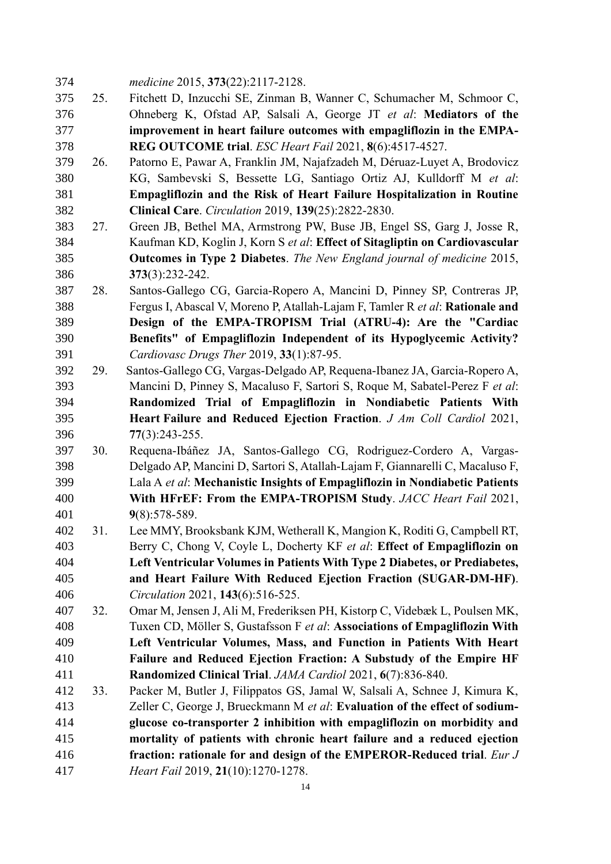*medicine* 2015, **373**(22):2117-2128.

- 25. Fitchett D, Inzucchi SE, Zinman B, Wanner C, Schumacher M, Schmoor C, Ohneberg K, Ofstad AP, Salsali A, George JT *et al*: **Mediators of the improvement in heart failure outcomes with empagliflozin in the EMPA-REG OUTCOME trial**. *ESC Heart Fail* 2021, **8**(6):4517-4527.
- 26. Patorno E, Pawar A, Franklin JM, Najafzadeh M, Déruaz-Luyet A, Brodovicz KG, Sambevski S, Bessette LG, Santiago Ortiz AJ, Kulldorff M *et al*: **Empagliflozin and the Risk of Heart Failure Hospitalization in Routine Clinical Care**. *Circulation* 2019, **139**(25):2822-2830.
- 27. Green JB, Bethel MA, Armstrong PW, Buse JB, Engel SS, Garg J, Josse R, Kaufman KD, Koglin J, Korn S *et al*: **Effect of Sitagliptin on Cardiovascular Outcomes in Type 2 Diabetes**. *The New England journal of medicine* 2015, **373**(3):232-242.
- 28. Santos-Gallego CG, Garcia-Ropero A, Mancini D, Pinney SP, Contreras JP, Fergus I, Abascal V, Moreno P, Atallah-Lajam F, Tamler R *et al*: **Rationale and Design of the EMPA-TROPISM Trial (ATRU-4): Are the "Cardiac Benefits" of Empagliflozin Independent of its Hypoglycemic Activity?** *Cardiovasc Drugs Ther* 2019, **33**(1):87-95.
- 29. Santos-Gallego CG, Vargas-Delgado AP, Requena-Ibanez JA, Garcia-Ropero A, Mancini D, Pinney S, Macaluso F, Sartori S, Roque M, Sabatel-Perez F *et al*: **Randomized Trial of Empagliflozin in Nondiabetic Patients With Heart Failure and Reduced Ejection Fraction**. *J Am Coll Cardiol* 2021, **77**(3):243-255.
- 30. Requena-Ibáñez JA, Santos-Gallego CG, Rodriguez-Cordero A, Vargas- Delgado AP, Mancini D, Sartori S, Atallah-Lajam F, Giannarelli C, Macaluso F, Lala A *et al*: **Mechanistic Insights of Empagliflozin in Nondiabetic Patients With HFrEF: From the EMPA-TROPISM Study**. *JACC Heart Fail* 2021, **9**(8):578-589.
- 31. Lee MMY, Brooksbank KJM, Wetherall K, Mangion K, Roditi G, Campbell RT, Berry C, Chong V, Coyle L, Docherty KF *et al*: **Effect of Empagliflozin on Left Ventricular Volumes in Patients With Type 2 Diabetes, or Prediabetes, and Heart Failure With Reduced Ejection Fraction (SUGAR-DM-HF)**. *Circulation* 2021, **143**(6):516-525.
- 32. Omar M, Jensen J, Ali M, Frederiksen PH, Kistorp C, Videbæk L, Poulsen MK, Tuxen CD, Möller S, Gustafsson F *et al*: **Associations of Empagliflozin With Left Ventricular Volumes, Mass, and Function in Patients With Heart Failure and Reduced Ejection Fraction: A Substudy of the Empire HF Randomized Clinical Trial**. *JAMA Cardiol* 2021, **6**(7):836-840.
- 33. Packer M, Butler J, Filippatos GS, Jamal W, Salsali A, Schnee J, Kimura K, Zeller C, George J, Brueckmann M *et al*: **Evaluation of the effect of sodium- glucose co-transporter 2 inhibition with empagliflozin on morbidity and mortality of patients with chronic heart failure and a reduced ejection fraction: rationale for and design of the EMPEROR-Reduced trial**. *Eur J Heart Fail* 2019, **21**(10):1270-1278.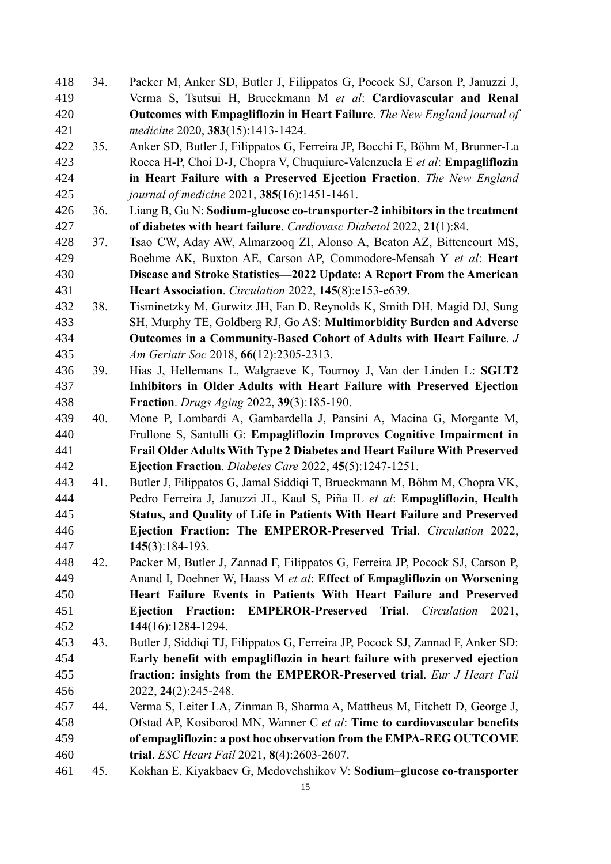- 34. Packer M, Anker SD, Butler J, Filippatos G, Pocock SJ, Carson P, Januzzi J, Verma S, Tsutsui H, Brueckmann M *et al*: **Cardiovascular and Renal Outcomes with Empagliflozin in Heart Failure**. *The New England journal of medicine* 2020, **383**(15):1413-1424.
- 35. Anker SD, Butler J, Filippatos G, Ferreira JP, Bocchi E, Böhm M, Brunner-La Rocca H-P, Choi D-J, Chopra V, Chuquiure-Valenzuela E *et al*: **Empagliflozin in Heart Failure with a Preserved Ejection Fraction**. *The New England journal of medicine* 2021, **385**(16):1451-1461.
- 36. Liang B, Gu N: **Sodium‑glucose co-transporter‑2 inhibitors in the treatment of diabetes with heart failure**. *Cardiovasc Diabetol* 2022, **21**(1):84.
- 37. Tsao CW, Aday AW, Almarzooq ZI, Alonso A, Beaton AZ, Bittencourt MS, Boehme AK, Buxton AE, Carson AP, Commodore-Mensah Y *et al*: **Heart Disease and Stroke Statistics—2022 Update: A Report From the American Heart Association**. *Circulation* 2022, **145**(8):e153-e639.
- 38. Tisminetzky M, Gurwitz JH, Fan D, Reynolds K, Smith DH, Magid DJ, Sung SH, Murphy TE, Goldberg RJ, Go AS: **Multimorbidity Burden and Adverse Outcomes in a Community-Based Cohort of Adults with Heart Failure**. *J Am Geriatr Soc* 2018, **66**(12):2305-2313.
- 39. Hias J, Hellemans L, Walgraeve K, Tournoy J, Van der Linden L: **SGLT2 Inhibitors in Older Adults with Heart Failure with Preserved Ejection Fraction**. *Drugs Aging* 2022, **39**(3):185-190.
- 40. Mone P, Lombardi A, Gambardella J, Pansini A, Macina G, Morgante M, Frullone S, Santulli G: **Empagliflozin Improves Cognitive Impairment in Frail Older Adults With Type 2 Diabetes and Heart Failure With Preserved Ejection Fraction**. *Diabetes Care* 2022, **45**(5):1247-1251.
- 41. Butler J, Filippatos G, Jamal Siddiqi T, Brueckmann M, Böhm M, Chopra VK, Pedro Ferreira J, Januzzi JL, Kaul S, Piña IL *et al*: **Empagliflozin, Health Status, and Quality of Life in Patients With Heart Failure and Preserved Ejection Fraction: The EMPEROR-Preserved Trial**. *Circulation* 2022, **145**(3):184-193.
- 42. Packer M, Butler J, Zannad F, Filippatos G, Ferreira JP, Pocock SJ, Carson P, Anand I, Doehner W, Haass M *et al*: **Effect of Empagliflozin on Worsening Heart Failure Events in Patients With Heart Failure and Preserved Ejection Fraction: EMPEROR-Preserved Trial**. *Circulation* 2021, **144**(16):1284-1294.
- 43. Butler J, Siddiqi TJ, Filippatos G, Ferreira JP, Pocock SJ, Zannad F, Anker SD: **Early benefit with empagliflozin in heart failure with preserved ejection fraction: insights from the EMPEROR-Preserved trial**. *Eur J Heart Fail*  2022, **24**(2):245-248.
- 44. Verma S, Leiter LA, Zinman B, Sharma A, Mattheus M, Fitchett D, George J, Ofstad AP, Kosiborod MN, Wanner C *et al*: **Time to cardiovascular benefits of empagliflozin: a post hoc observation from the EMPA-REG OUTCOME trial**. *ESC Heart Fail* 2021, **8**(4):2603-2607.
- 45. Kokhan E, Kiyakbaev G, Medovchshikov V: **Sodium–glucose co-transporter**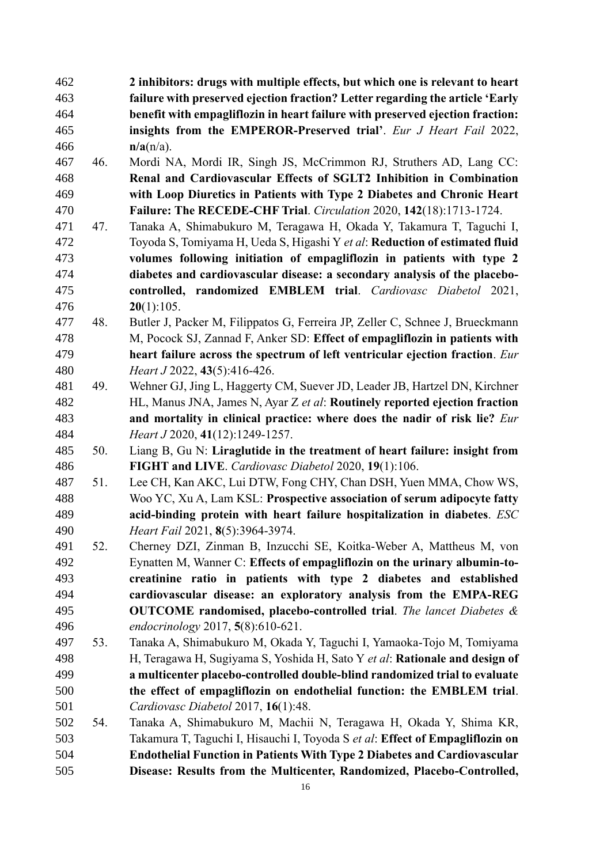- **2 inhibitors: drugs with multiple effects, but which one is relevant to heart failure with preserved ejection fraction? Letter regarding the article 'Early benefit with empagliflozin in heart failure with preserved ejection fraction: insights from the EMPEROR-Preserved trial'**. *Eur J Heart Fail* 2022, **n/a**(n/a).
- 46. Mordi NA, Mordi IR, Singh JS, McCrimmon RJ, Struthers AD, Lang CC: **Renal and Cardiovascular Effects of SGLT2 Inhibition in Combination with Loop Diuretics in Patients with Type 2 Diabetes and Chronic Heart Failure: The RECEDE-CHF Trial**. *Circulation* 2020, **142**(18):1713-1724.
- 47. Tanaka A, Shimabukuro M, Teragawa H, Okada Y, Takamura T, Taguchi I, Toyoda S, Tomiyama H, Ueda S, Higashi Y *et al*: **Reduction of estimated fluid volumes following initiation of empagliflozin in patients with type 2 diabetes and cardiovascular disease: a secondary analysis of the placebo- controlled, randomized EMBLEM trial**. *Cardiovasc Diabetol* 2021, **20**(1):105.
- 48. Butler J, Packer M, Filippatos G, Ferreira JP, Zeller C, Schnee J, Brueckmann M, Pocock SJ, Zannad F, Anker SD: **Effect of empagliflozin in patients with heart failure across the spectrum of left ventricular ejection fraction**. *Eur Heart J* 2022, **43**(5):416-426.
- 49. Wehner GJ, Jing L, Haggerty CM, Suever JD, Leader JB, Hartzel DN, Kirchner HL, Manus JNA, James N, Ayar Z *et al*: **Routinely reported ejection fraction and mortality in clinical practice: where does the nadir of risk lie?** *Eur Heart J* 2020, **41**(12):1249-1257.
- 50. Liang B, Gu N: **Liraglutide in the treatment of heart failure: insight from FIGHT and LIVE**. *Cardiovasc Diabetol* 2020, **19**(1):106.
- 51. Lee CH, Kan AKC, Lui DTW, Fong CHY, Chan DSH, Yuen MMA, Chow WS, Woo YC, Xu A, Lam KSL: **Prospective association of serum adipocyte fatty acid-binding protein with heart failure hospitalization in diabetes**. *ESC Heart Fail* 2021, **8**(5):3964-3974.
- 52. Cherney DZI, Zinman B, Inzucchi SE, Koitka-Weber A, Mattheus M, von Eynatten M, Wanner C: **Effects of empagliflozin on the urinary albumin-to- creatinine ratio in patients with type 2 diabetes and established cardiovascular disease: an exploratory analysis from the EMPA-REG OUTCOME randomised, placebo-controlled trial**. *The lancet Diabetes & endocrinology* 2017, **5**(8):610-621.
- 53. Tanaka A, Shimabukuro M, Okada Y, Taguchi I, Yamaoka-Tojo M, Tomiyama H, Teragawa H, Sugiyama S, Yoshida H, Sato Y *et al*: **Rationale and design of a multicenter placebo-controlled double-blind randomized trial to evaluate the effect of empagliflozin on endothelial function: the EMBLEM trial**. *Cardiovasc Diabetol* 2017, **16**(1):48.
- 54. Tanaka A, Shimabukuro M, Machii N, Teragawa H, Okada Y, Shima KR, Takamura T, Taguchi I, Hisauchi I, Toyoda S *et al*: **Effect of Empagliflozin on Endothelial Function in Patients With Type 2 Diabetes and Cardiovascular Disease: Results from the Multicenter, Randomized, Placebo-Controlled,**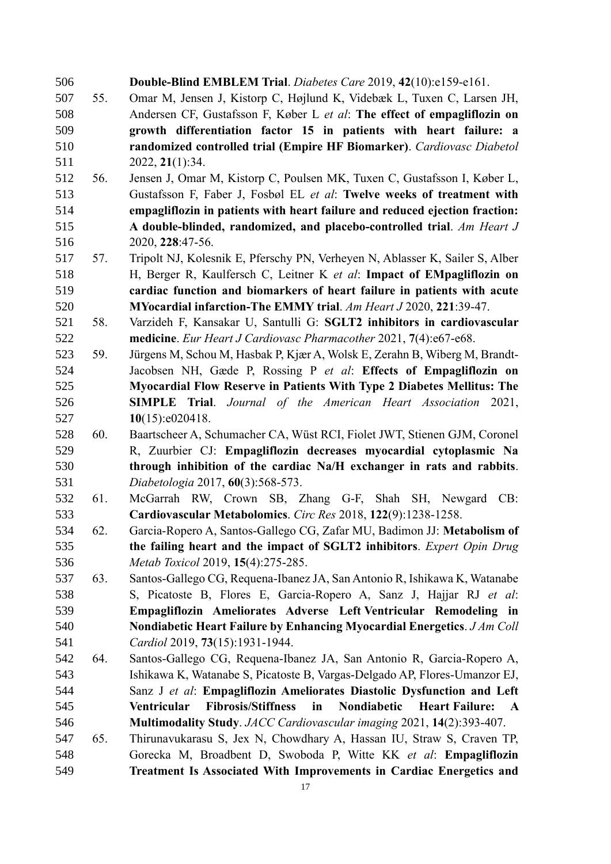| 506 |     | Double-Blind EMBLEM Trial. Diabetes Care 2019, 42(10):e159-e161.                            |
|-----|-----|---------------------------------------------------------------------------------------------|
| 507 | 55. | Omar M, Jensen J, Kistorp C, Højlund K, Videbæk L, Tuxen C, Larsen JH,                      |
| 508 |     | Andersen CF, Gustafsson F, Køber L et al: The effect of empagliflozin on                    |
| 509 |     | growth differentiation factor 15 in patients with heart failure: a                          |
| 510 |     | randomized controlled trial (Empire HF Biomarker). Cardiovasc Diabetol                      |
| 511 |     | 2022, 21(1):34.                                                                             |
| 512 | 56. | Jensen J, Omar M, Kistorp C, Poulsen MK, Tuxen C, Gustafsson I, Køber L,                    |
| 513 |     | Gustafsson F, Faber J, Fosbøl EL et al: Twelve weeks of treatment with                      |
| 514 |     | empagliflozin in patients with heart failure and reduced ejection fraction:                 |
| 515 |     | A double-blinded, randomized, and placebo-controlled trial. Am Heart J                      |
| 516 |     | 2020, 228:47-56.                                                                            |
| 517 | 57. | Tripolt NJ, Kolesnik E, Pferschy PN, Verheyen N, Ablasser K, Sailer S, Alber                |
| 518 |     | H, Berger R, Kaulfersch C, Leitner K et al: Impact of EMpagliflozin on                      |
| 519 |     | cardiac function and biomarkers of heart failure in patients with acute                     |
| 520 |     | MYocardial infarction-The EMMY trial. Am Heart J 2020, 221:39-47.                           |
| 521 | 58. | Varzideh F, Kansakar U, Santulli G: SGLT2 inhibitors in cardiovascular                      |
| 522 |     | medicine. Eur Heart J Cardiovasc Pharmacother 2021, 7(4):e67-e68.                           |
| 523 | 59. | Jürgens M, Schou M, Hasbak P, Kjær A, Wolsk E, Zerahn B, Wiberg M, Brandt-                  |
| 524 |     | Jacobsen NH, Gæde P, Rossing P et al: Effects of Empagliflozin on                           |
| 525 |     | Myocardial Flow Reserve in Patients With Type 2 Diabetes Mellitus: The                      |
| 526 |     | <b>SIMPLE Trial.</b> Journal of the American Heart Association 2021,                        |
| 527 |     | 10(15):e020418.                                                                             |
| 528 | 60. | Baartscheer A, Schumacher CA, Wüst RCI, Fiolet JWT, Stienen GJM, Coronel                    |
| 529 |     | R, Zuurbier CJ: Empagliflozin decreases myocardial cytoplasmic Na                           |
| 530 |     | through inhibition of the cardiac Na/H exchanger in rats and rabbits.                       |
| 531 |     | Diabetologia 2017, 60(3):568-573.                                                           |
| 532 | 61. | McGarrah RW, Crown SB, Zhang G-F, Shah SH, Newgard<br>CB:                                   |
| 533 |     | Cardiovascular Metabolomics. Circ Res 2018, 122(9):1238-1258.                               |
| 534 | 62. | Garcia-Ropero A, Santos-Gallego CG, Zafar MU, Badimon JJ: Metabolism of                     |
| 535 |     | the failing heart and the impact of SGLT2 inhibitors. Expert Opin Drug                      |
| 536 |     | Metab Toxicol 2019, 15(4):275-285.                                                          |
| 537 | 63. | Santos-Gallego CG, Requena-Ibanez JA, San Antonio R, Ishikawa K, Watanabe                   |
| 538 |     | S, Picatoste B, Flores E, Garcia-Ropero A, Sanz J, Hajjar RJ et al:                         |
| 539 |     | Empagliflozin Ameliorates Adverse Left Ventricular Remodeling in                            |
| 540 |     | Nondiabetic Heart Failure by Enhancing Myocardial Energetics. J Am Coll                     |
| 541 |     | Cardiol 2019, 73(15):1931-1944.                                                             |
| 542 | 64. | Santos-Gallego CG, Requena-Ibanez JA, San Antonio R, Garcia-Ropero A,                       |
| 543 |     | Ishikawa K, Watanabe S, Picatoste B, Vargas-Delgado AP, Flores-Umanzor EJ,                  |
| 544 |     | Sanz J et al: Empagliflozin Ameliorates Diastolic Dysfunction and Left                      |
| 545 |     | <b>Fibrosis/Stiffness</b><br>Nondiabetic<br>Ventricular<br>in<br><b>Heart Failure:</b><br>A |
| 546 |     | Multimodality Study. JACC Cardiovascular imaging 2021, 14(2):393-407.                       |
| 547 | 65. | Thirunavukarasu S, Jex N, Chowdhary A, Hassan IU, Straw S, Craven TP,                       |
| 548 |     | Gorecka M, Broadbent D, Swoboda P, Witte KK et al: Empagliflozin                            |
| 549 |     | Treatment Is Associated With Improvements in Cardiac Energetics and                         |
|     |     |                                                                                             |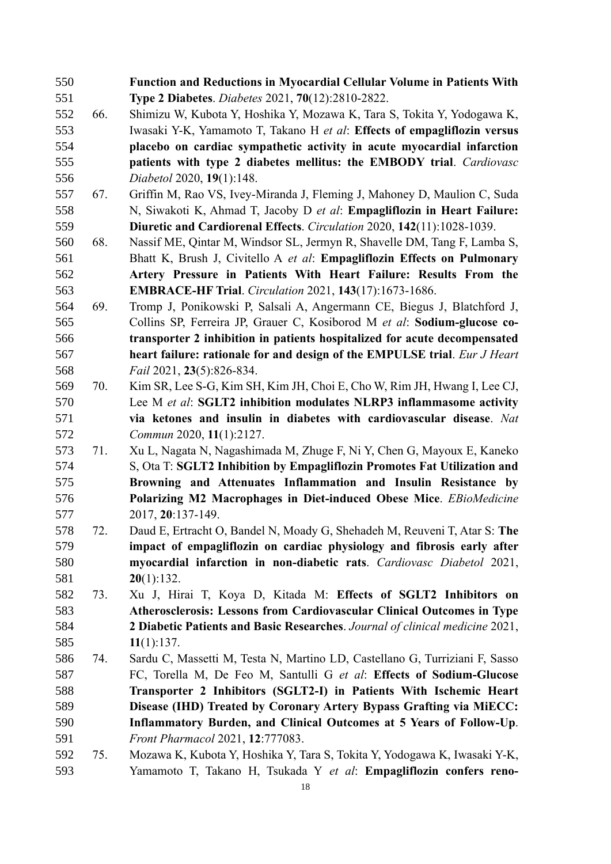| 550 |     | <b>Function and Reductions in Myocardial Cellular Volume in Patients With</b> |
|-----|-----|-------------------------------------------------------------------------------|
| 551 |     | Type 2 Diabetes. Diabetes 2021, 70(12):2810-2822.                             |
| 552 | 66. | Shimizu W, Kubota Y, Hoshika Y, Mozawa K, Tara S, Tokita Y, Yodogawa K,       |
| 553 |     | Iwasaki Y-K, Yamamoto T, Takano H et al: Effects of empagliflozin versus      |
| 554 |     | placebo on cardiac sympathetic activity in acute myocardial infarction        |
| 555 |     | patients with type 2 diabetes mellitus: the EMBODY trial. Cardiovasc          |
| 556 |     | Diabetol 2020, 19(1):148.                                                     |
| 557 | 67. | Griffin M, Rao VS, Ivey-Miranda J, Fleming J, Mahoney D, Maulion C, Suda      |
| 558 |     | N, Siwakoti K, Ahmad T, Jacoby D et al: Empagliflozin in Heart Failure:       |
| 559 |     | Diuretic and Cardiorenal Effects. Circulation 2020, 142(11):1028-1039.        |
| 560 | 68. | Nassif ME, Qintar M, Windsor SL, Jermyn R, Shavelle DM, Tang F, Lamba S,      |
| 561 |     | Bhatt K, Brush J, Civitello A et al: Empagliflozin Effects on Pulmonary       |
| 562 |     | Artery Pressure in Patients With Heart Failure: Results From the              |
| 563 |     | <b>EMBRACE-HF Trial.</b> Circulation 2021, 143(17):1673-1686.                 |
| 564 | 69. | Tromp J, Ponikowski P, Salsali A, Angermann CE, Biegus J, Blatchford J,       |
| 565 |     | Collins SP, Ferreira JP, Grauer C, Kosiborod M et al: Sodium-glucose co-      |
| 566 |     | transporter 2 inhibition in patients hospitalized for acute decompensated     |
| 567 |     | heart failure: rationale for and design of the EMPULSE trial. Eur J Heart     |
| 568 |     | Fail 2021, 23(5):826-834.                                                     |
| 569 | 70. | Kim SR, Lee S-G, Kim SH, Kim JH, Choi E, Cho W, Rim JH, Hwang I, Lee CJ,      |
| 570 |     | Lee M et al: SGLT2 inhibition modulates NLRP3 inflammasome activity           |
| 571 |     | via ketones and insulin in diabetes with cardiovascular disease. Nat          |
| 572 |     | Commun 2020, 11(1):2127.                                                      |
| 573 | 71. | Xu L, Nagata N, Nagashimada M, Zhuge F, Ni Y, Chen G, Mayoux E, Kaneko        |
| 574 |     | S, Ota T: SGLT2 Inhibition by Empagliflozin Promotes Fat Utilization and      |
| 575 |     | Browning and Attenuates Inflammation and Insulin Resistance by                |
| 576 |     | Polarizing M2 Macrophages in Diet-induced Obese Mice. EBioMedicine            |
| 577 |     | 2017, 20:137-149.                                                             |
| 578 | 72. | Daud E, Ertracht O, Bandel N, Moady G, Shehadeh M, Reuveni T, Atar S: The     |
| 579 |     | impact of empagliflozin on cardiac physiology and fibrosis early after        |
| 580 |     | myocardial infarction in non-diabetic rats. Cardiovasc Diabetol 2021,         |
| 581 |     | 20(1):132.                                                                    |
| 582 | 73. | Xu J, Hirai T, Koya D, Kitada M: Effects of SGLT2 Inhibitors on               |
| 583 |     | Atherosclerosis: Lessons from Cardiovascular Clinical Outcomes in Type        |
| 584 |     | 2 Diabetic Patients and Basic Researches. Journal of clinical medicine 2021,  |
| 585 |     | 11(1):137.                                                                    |
| 586 | 74. | Sardu C, Massetti M, Testa N, Martino LD, Castellano G, Turriziani F, Sasso   |
| 587 |     | FC, Torella M, De Feo M, Santulli G et al: Effects of Sodium-Glucose          |
| 588 |     | Transporter 2 Inhibitors (SGLT2-I) in Patients With Ischemic Heart            |
| 589 |     | Disease (IHD) Treated by Coronary Artery Bypass Grafting via MiECC:           |
| 590 |     | Inflammatory Burden, and Clinical Outcomes at 5 Years of Follow-Up.           |
| 591 |     | Front Pharmacol 2021, 12:777083.                                              |
| 592 | 75. | Mozawa K, Kubota Y, Hoshika Y, Tara S, Tokita Y, Yodogawa K, Iwasaki Y-K,     |
| 593 |     | Yamamoto T, Takano H, Tsukada Y et al: Empagliflozin confers reno-            |
|     |     | 18                                                                            |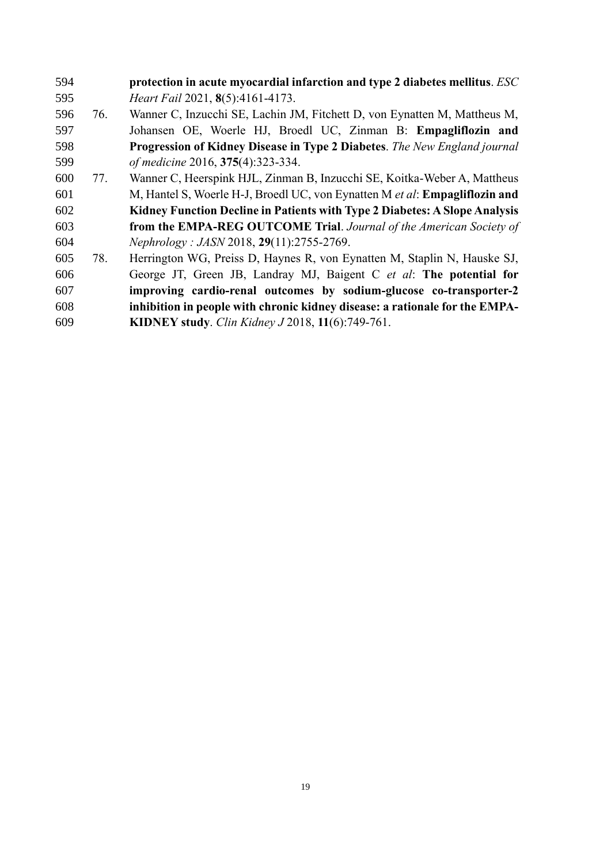- **protection in acute myocardial infarction and type 2 diabetes mellitus**. *ESC Heart Fail* 2021, **8**(5):4161-4173. 76. Wanner C, Inzucchi SE, Lachin JM, Fitchett D, von Eynatten M, Mattheus M, Johansen OE, Woerle HJ, Broedl UC, Zinman B: **Empagliflozin and Progression of Kidney Disease in Type 2 Diabetes**. *The New England journal of medicine* 2016, **375**(4):323-334. 77. Wanner C, Heerspink HJL, Zinman B, Inzucchi SE, Koitka-Weber A, Mattheus M, Hantel S, Woerle H-J, Broedl UC, von Eynatten M *et al*: **Empagliflozin and Kidney Function Decline in Patients with Type 2 Diabetes: A Slope Analysis from the EMPA-REG OUTCOME Trial**. *Journal of the American Society of Nephrology : JASN* 2018, **29**(11):2755-2769. 78. Herrington WG, Preiss D, Haynes R, von Eynatten M, Staplin N, Hauske SJ, George JT, Green JB, Landray MJ, Baigent C *et al*: **The potential for improving cardio-renal outcomes by sodium-glucose co-transporter-2 inhibition in people with chronic kidney disease: a rationale for the EMPA-**
- **KIDNEY study**. *Clin Kidney J* 2018, **11**(6):749-761.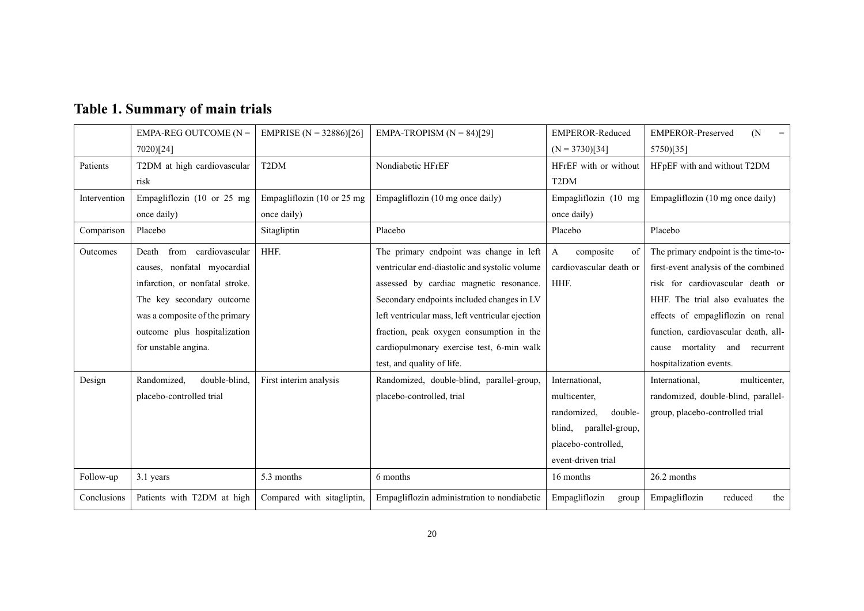|              | EMPA-REG OUTCOME ( $N =$        | EMPRISE ( $N = 32886$ )[26] | EMPA-TROPISM $(N = 84)[29]$                      | <b>EMPEROR-Reduced</b>    | <b>EMPEROR-Preserved</b><br>(N)<br>$=$ |
|--------------|---------------------------------|-----------------------------|--------------------------------------------------|---------------------------|----------------------------------------|
|              | 7020)[24]                       |                             |                                                  | $(N = 3730)[34]$          | 5750)[35]                              |
| Patients     | T2DM at high cardiovascular     | T <sub>2</sub> DM           | Nondiabetic HFrEF                                | HFrEF with or without     | HFpEF with and without T2DM            |
|              | risk                            |                             |                                                  | T <sub>2</sub> DM         |                                        |
| Intervention | Empagliflozin (10 or 25 mg      | Empagliflozin (10 or 25 mg  | Empagliflozin (10 mg once daily)                 | Empagliflozin (10 mg      | Empagliflozin (10 mg once daily)       |
|              | once daily)                     | once daily)                 |                                                  | once daily)               |                                        |
| Comparison   | Placebo                         | Sitagliptin                 | Placebo                                          | Placebo                   | Placebo                                |
| Outcomes     | from cardiovascular<br>Death    | HHF.                        | The primary endpoint was change in left          | composite<br>A<br>of      | The primary endpoint is the time-to-   |
|              | causes, nonfatal myocardial     |                             | ventricular end-diastolic and systolic volume    | cardiovascular death or   | first-event analysis of the combined   |
|              | infarction, or nonfatal stroke. |                             | assessed by cardiac magnetic resonance.          | HHF.                      | risk for cardiovascular death or       |
|              | The key secondary outcome       |                             | Secondary endpoints included changes in LV       |                           | HHF. The trial also evaluates the      |
|              | was a composite of the primary  |                             | left ventricular mass, left ventricular ejection |                           | effects of empagliflozin on renal      |
|              | outcome plus hospitalization    |                             | fraction, peak oxygen consumption in the         |                           | function, cardiovascular death, all-   |
|              | for unstable angina.            |                             | cardiopulmonary exercise test, 6-min walk        |                           | mortality and<br>recurrent<br>cause    |
|              |                                 |                             | test, and quality of life.                       |                           | hospitalization events.                |
| Design       | Randomized,<br>double-blind.    | First interim analysis      | Randomized, double-blind, parallel-group,        | International.            | multicenter,<br>International,         |
|              | placebo-controlled trial        |                             | placebo-controlled, trial                        | multicenter,              | randomized, double-blind, parallel-    |
|              |                                 |                             |                                                  | randomized,<br>double-    | group, placebo-controlled trial        |
|              |                                 |                             |                                                  | parallel-group,<br>blind, |                                        |
|              |                                 |                             |                                                  | placebo-controlled,       |                                        |
|              |                                 |                             |                                                  | event-driven trial        |                                        |
| Follow-up    | 3.1 years                       | 5.3 months                  | 6 months                                         | 16 months                 | 26.2 months                            |
| Conclusions  | Patients with T2DM at high      | Compared with sitagliptin,  | Empagliflozin administration to nondiabetic      | Empagliflozin<br>group    | Empagliflozin<br>reduced<br>the        |

# **Table 1. Summary of main trials**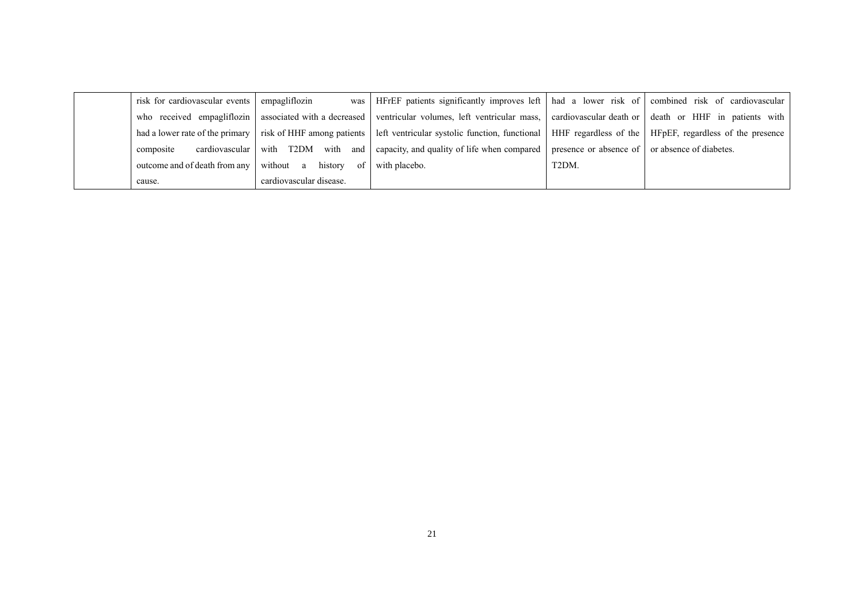| risk for cardiovascular events | empagliflozin           | was   HFrEF patients significantly improves left   had a lower risk of   combined risk of cardiovascular                                                            |       |  |
|--------------------------------|-------------------------|---------------------------------------------------------------------------------------------------------------------------------------------------------------------|-------|--|
| who received empagliflozin     |                         | associated with a decreased ventricular volumes, left ventricular mass, cardiovascular death or death or HHF in patients with                                       |       |  |
|                                |                         | had a lower rate of the primary risk of HHF among patients left ventricular systolic function, functional HHF regardless of the I HFpEF, regardless of the presence |       |  |
| cardiovascular  <br>composite  |                         | with T2DM with and capacity, and quality of life when compared presence or absence of or absence of diabetes.                                                       |       |  |
| outcome and of death from any  | without a history of    | with placebo.                                                                                                                                                       | T2DM. |  |
| cause.                         | cardiovascular disease. |                                                                                                                                                                     |       |  |